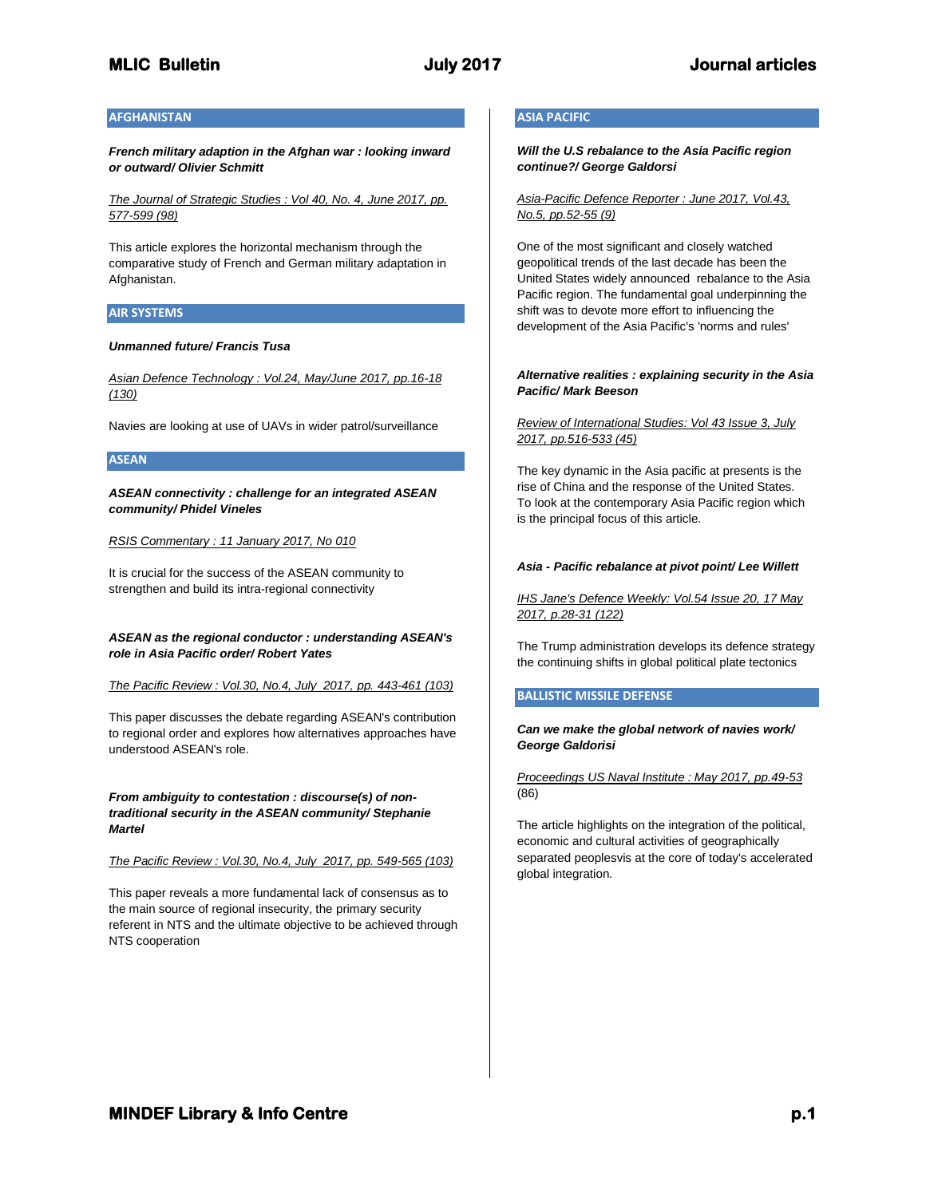# **AFGHANISTAN**

*French military adaption in the Afghan war : looking inward or outward/ Olivier Schmitt*

*The Journal of Strategic Studies : Vol 40, No. 4, June 2017, pp. 577-599 (98)*

This article explores the horizontal mechanism through the comparative study of French and German military adaptation in Afghanistan.

# **AIR SYSTEMS**

### *Unmanned future/ Francis Tusa*

*Asian Defence Technology : Vol.24, May/June 2017, pp.16-18 (130)*

Navies are looking at use of UAVs in wider patrol/surveillance

# **ASEAN**

*ASEAN connectivity : challenge for an integrated ASEAN community/ Phidel Vineles*

*RSIS Commentary : 11 January 2017, No 010*

It is crucial for the success of the ASEAN community to strengthen and build its intra-regional connectivity

# *ASEAN as the regional conductor : understanding ASEAN's role in Asia Pacific order/ Robert Yates*

*The Pacific Review : Vol.30, No.4, July 2017, pp. 443-461 (103)*

This paper discusses the debate regarding ASEAN's contribution to regional order and explores how alternatives approaches have understood ASEAN's role.

*From ambiguity to contestation : discourse(s) of nontraditional security in the ASEAN community/ Stephanie Martel*

### *The Pacific Review : Vol.30, No.4, July 2017, pp. 549-565 (103)*

This paper reveals a more fundamental lack of consensus as to the main source of regional insecurity, the primary security referent in NTS and the ultimate objective to be achieved through NTS cooperation

# **ASIA PACIFIC**

*Will the U.S rebalance to the Asia Pacific region continue?/ George Galdorsi*

*Asia-Pacific Defence Reporter : June 2017, Vol.43, No.5, pp.52-55 (9)*

One of the most significant and closely watched geopolitical trends of the last decade has been the United States widely announced rebalance to the Asia Pacific region. The fundamental goal underpinning the shift was to devote more effort to influencing the development of the Asia Pacific's 'norms and rules'

# *Alternative realities : explaining security in the Asia Pacific/ Mark Beeson*

# *Review of International Studies: Vol 43 Issue 3, July 2017, pp.516-533 (45)*

The key dynamic in the Asia pacific at presents is the rise of China and the response of the United States. To look at the contemporary Asia Pacific region which is the principal focus of this article.

### *Asia - Pacific rebalance at pivot point/ Lee Willett*

*IHS Jane's Defence Weekly: Vol.54 Issue 20, 17 May 2017, p.28-31 (122)*

The Trump administration develops its defence strategy the continuing shifts in global political plate tectonics

# **BALLISTIC MISSILE DEFENSE**

*Can we make the global network of navies work/ George Galdorisi*

*Proceedings US Naval Institute : May 2017, pp.49-53* (86)

The article highlights on the integration of the political, economic and cultural activities of geographically separated peoplesvis at the core of today's accelerated global integration.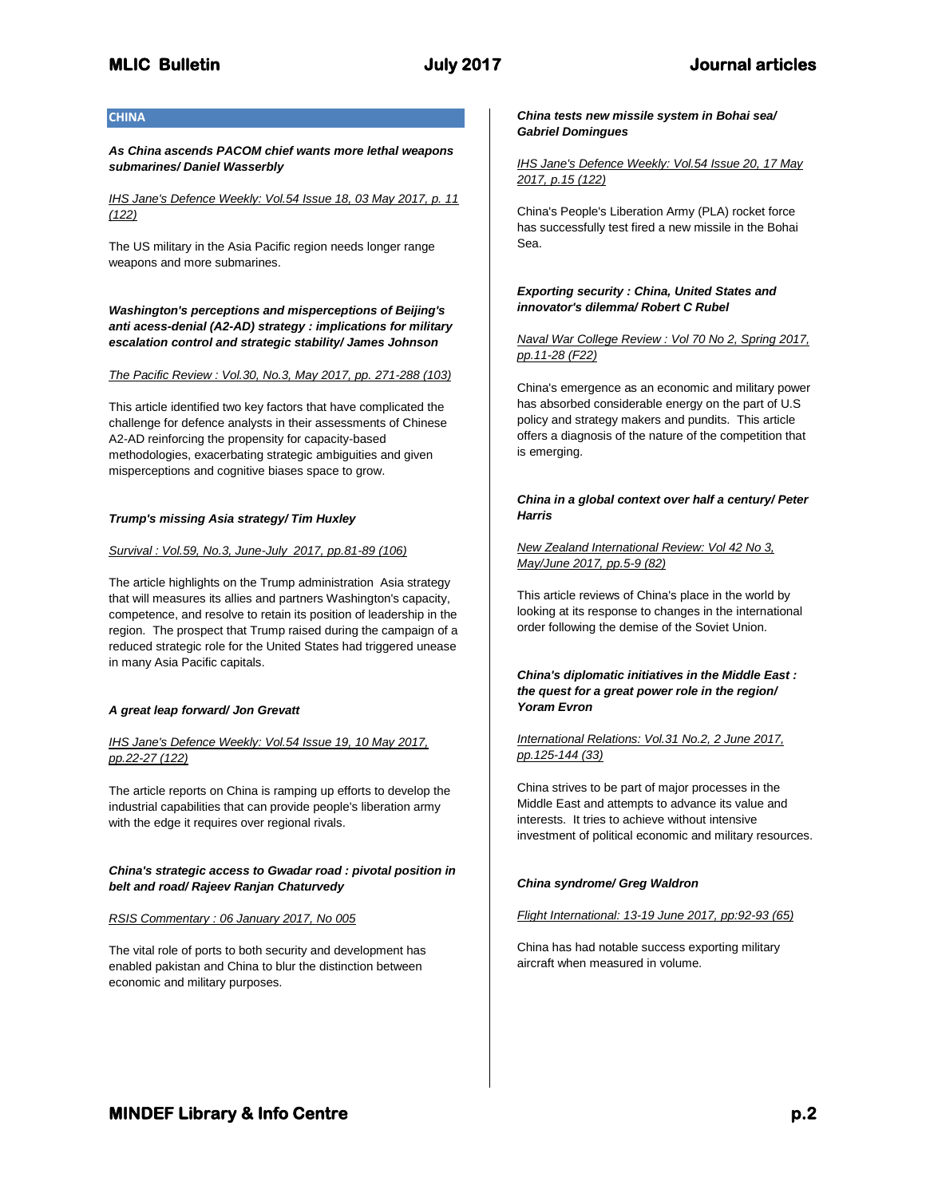# **CHINA**

*As China ascends PACOM chief wants more lethal weapons submarines/ Daniel Wasserbly*

### *IHS Jane's Defence Weekly: Vol.54 Issue 18, 03 May 2017, p. 11 (122)*

The US military in the Asia Pacific region needs longer range weapons and more submarines.

*Washington's perceptions and misperceptions of Beijing's anti acess-denial (A2-AD) strategy : implications for military escalation control and strategic stability/ James Johnson*

*The Pacific Review : Vol.30, No.3, May 2017, pp. 271-288 (103)*

This article identified two key factors that have complicated the challenge for defence analysts in their assessments of Chinese A2-AD reinforcing the propensity for capacity-based methodologies, exacerbating strategic ambiguities and given misperceptions and cognitive biases space to grow.

### *Trump's missing Asia strategy/ Tim Huxley*

### *Survival : Vol.59, No.3, June-July 2017, pp.81-89 (106)*

The article highlights on the Trump administration Asia strategy that will measures its allies and partners Washington's capacity, competence, and resolve to retain its position of leadership in the region. The prospect that Trump raised during the campaign of a reduced strategic role for the United States had triggered unease in many Asia Pacific capitals.

# *A great leap forward/ Jon Grevatt*

# *IHS Jane's Defence Weekly: Vol.54 Issue 19, 10 May 2017, pp.22-27 (122)*

The article reports on China is ramping up efforts to develop the industrial capabilities that can provide people's liberation army with the edge it requires over regional rivals.

# *China's strategic access to Gwadar road : pivotal position in belt and road/ Rajeev Ranjan Chaturvedy*

### *RSIS Commentary : 06 January 2017, No 005*

The vital role of ports to both security and development has enabled pakistan and China to blur the distinction between economic and military purposes.

#### *China tests new missile system in Bohai sea/ Gabriel Domingues*

*IHS Jane's Defence Weekly: Vol.54 Issue 20, 17 May 2017, p.15 (122)*

China's People's Liberation Army (PLA) rocket force has successfully test fired a new missile in the Bohai Sea.

# *Exporting security : China, United States and innovator's dilemma/ Robert C Rubel*

*Naval War College Review : Vol 70 No 2, Spring 2017, pp.11-28 (F22)*

China's emergence as an economic and military power has absorbed considerable energy on the part of U.S policy and strategy makers and pundits. This article offers a diagnosis of the nature of the competition that is emerging.

# *China in a global context over half a century/ Peter Harris*

# *New Zealand International Review: Vol 42 No 3, May/June 2017, pp.5-9 (82)*

This article reviews of China's place in the world by looking at its response to changes in the international order following the demise of the Soviet Union.

*China's diplomatic initiatives in the Middle East : the quest for a great power role in the region/ Yoram Evron*

# *International Relations: Vol.31 No.2, 2 June 2017, pp.125-144 (33)*

China strives to be part of major processes in the Middle East and attempts to advance its value and interests. It tries to achieve without intensive investment of political economic and military resources.

# *China syndrome/ Greg Waldron*

# *Flight International: 13-19 June 2017, pp:92-93 (65)*

China has had notable success exporting military aircraft when measured in volume.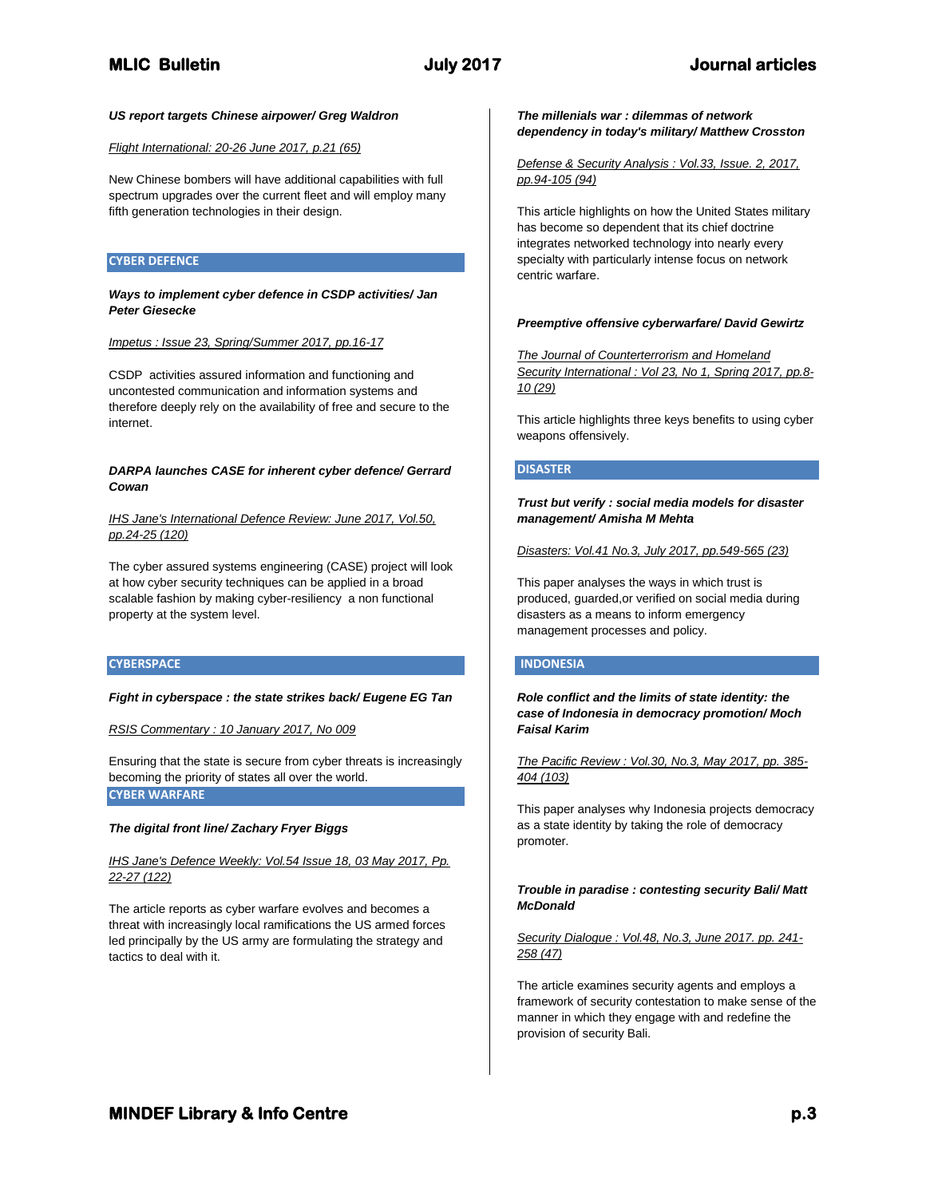# *US report targets Chinese airpower/ Greg Waldron*

# *Flight International: 20-26 June 2017, p.21 (65)*

New Chinese bombers will have additional capabilities with full spectrum upgrades over the current fleet and will employ many fifth generation technologies in their design.

# **CYBER DEFENCE**

#### *Ways to implement cyber defence in CSDP activities/ Jan Peter Giesecke*

*Impetus : Issue 23, Spring/Summer 2017, pp.16-17*

CSDP activities assured information and functioning and uncontested communication and information systems and therefore deeply rely on the availability of free and secure to the internet.

# *DARPA launches CASE for inherent cyber defence/ Gerrard Cowan*

*IHS Jane's International Defence Review: June 2017, Vol.50, pp.24-25 (120)*

The cyber assured systems engineering (CASE) project will look at how cyber security techniques can be applied in a broad scalable fashion by making cyber-resiliency a non functional property at the system level.

### **CYBERSPACE**

#### *Fight in cyberspace : the state strikes back/ Eugene EG Tan*

*RSIS Commentary : 10 January 2017, No 009*

Ensuring that the state is secure from cyber threats is increasingly becoming the priority of states all over the world. **CYBER WARFARE**

### *The digital front line/ Zachary Fryer Biggs*

*IHS Jane's Defence Weekly: Vol.54 Issue 18, 03 May 2017, Pp. 22-27 (122)*

The article reports as cyber warfare evolves and becomes a threat with increasingly local ramifications the US armed forces led principally by the US army are formulating the strategy and tactics to deal with it.

## *The millenials war : dilemmas of network dependency in today's military/ Matthew Crosston*

*Defense & Security Analysis : Vol.33, Issue. 2, 2017, pp.94-105 (94)*

This article highlights on how the United States military has become so dependent that its chief doctrine integrates networked technology into nearly every specialty with particularly intense focus on network centric warfare.

### *Preemptive offensive cyberwarfare/ David Gewirtz*

*The Journal of Counterterrorism and Homeland Security International : Vol 23, No 1, Spring 2017, pp.8- 10 (29)*

This article highlights three keys benefits to using cyber weapons offensively.

# **DISASTER**

*Trust but verify : social media models for disaster management/ Amisha M Mehta*

*Disasters: Vol.41 No.3, July 2017, pp.549-565 (23)*

This paper analyses the ways in which trust is produced, guarded,or verified on social media during disasters as a means to inform emergency management processes and policy.

### **INDONESIA**

*Role conflict and the limits of state identity: the case of Indonesia in democracy promotion/ Moch Faisal Karim*

*The Pacific Review : Vol.30, No.3, May 2017, pp. 385- 404 (103)*

This paper analyses why Indonesia projects democracy as a state identity by taking the role of democracy promoter.

# *Trouble in paradise : contesting security Bali/ Matt McDonald*

# *Security Dialogue : Vol.48, No.3, June 2017. pp. 241- 258 (47)*

The article examines security agents and employs a framework of security contestation to make sense of the manner in which they engage with and redefine the provision of security Bali.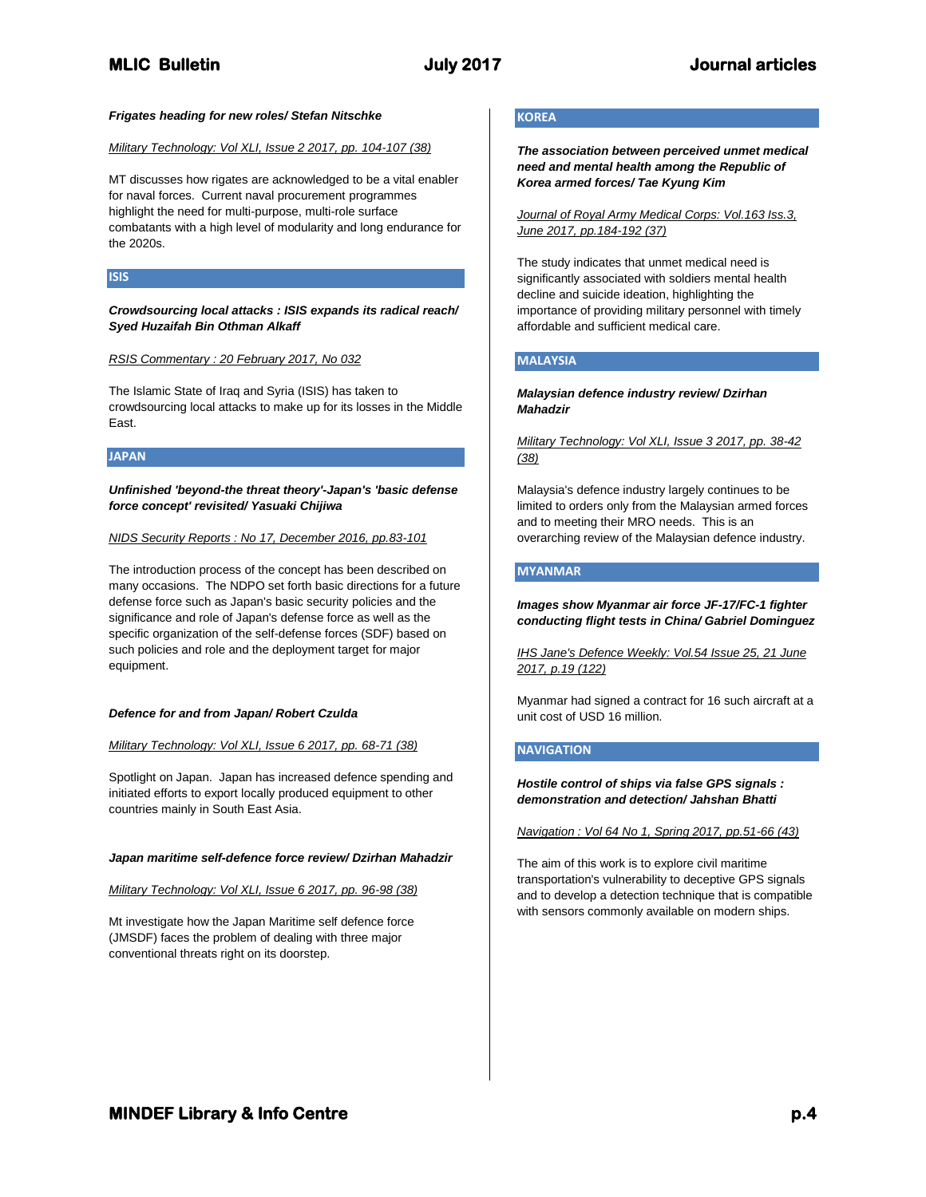# **MLIC Bulletin July 2017 Journal articles**

#### *Frigates heading for new roles/ Stefan Nitschke*

# *Military Technology: Vol XLI, Issue 2 2017, pp. 104-107 (38)*

MT discusses how rigates are acknowledged to be a vital enabler for naval forces. Current naval procurement programmes highlight the need for multi-purpose, multi-role surface combatants with a high level of modularity and long endurance for the 2020s.

### **ISIS**

### *Crowdsourcing local attacks : ISIS expands its radical reach/ Syed Huzaifah Bin Othman Alkaff*

### *RSIS Commentary : 20 February 2017, No 032*

The Islamic State of Iraq and Syria (ISIS) has taken to crowdsourcing local attacks to make up for its losses in the Middle East.

### **JAPAN**

*Unfinished 'beyond-the threat theory'-Japan's 'basic defense force concept' revisited/ Yasuaki Chijiwa*

#### *NIDS Security Reports : No 17, December 2016, pp.83-101*

The introduction process of the concept has been described on many occasions. The NDPO set forth basic directions for a future defense force such as Japan's basic security policies and the significance and role of Japan's defense force as well as the specific organization of the self-defense forces (SDF) based on such policies and role and the deployment target for major equipment.

#### *Defence for and from Japan/ Robert Czulda*

#### *Military Technology: Vol XLI, Issue 6 2017, pp. 68-71 (38)*

Spotlight on Japan. Japan has increased defence spending and initiated efforts to export locally produced equipment to other countries mainly in South East Asia.

#### *Japan maritime self-defence force review/ Dzirhan Mahadzir*

*Military Technology: Vol XLI, Issue 6 2017, pp. 96-98 (38)* 

Mt investigate how the Japan Maritime self defence force (JMSDF) faces the problem of dealing with three major conventional threats right on its doorstep.

# **KOREA**

*The association between perceived unmet medical need and mental health among the Republic of Korea armed forces/ Tae Kyung Kim*

*Journal of Royal Army Medical Corps: Vol.163 Iss.3, June 2017, pp.184-192 (37)*

The study indicates that unmet medical need is significantly associated with soldiers mental health decline and suicide ideation, highlighting the importance of providing military personnel with timely affordable and sufficient medical care.

### **MALAYSIA**

### *Malaysian defence industry review/ Dzirhan Mahadzir*

*Military Technology: Vol XLI, Issue 3 2017, pp. 38-42 (38)*

Malaysia's defence industry largely continues to be limited to orders only from the Malaysian armed forces and to meeting their MRO needs. This is an overarching review of the Malaysian defence industry.

# **MYANMAR**

*Images show Myanmar air force JF-17/FC-1 fighter conducting flight tests in China/ Gabriel Dominguez*

*IHS Jane's Defence Weekly: Vol.54 Issue 25, 21 June 2017, p.19 (122)*

Myanmar had signed a contract for 16 such aircraft at a unit cost of USD 16 million.

# **NAVIGATION**

*Hostile control of ships via false GPS signals : demonstration and detection/ Jahshan Bhatti*

*Navigation : Vol 64 No 1, Spring 2017, pp.51-66 (43)*

The aim of this work is to explore civil maritime transportation's vulnerability to deceptive GPS signals and to develop a detection technique that is compatible with sensors commonly available on modern ships.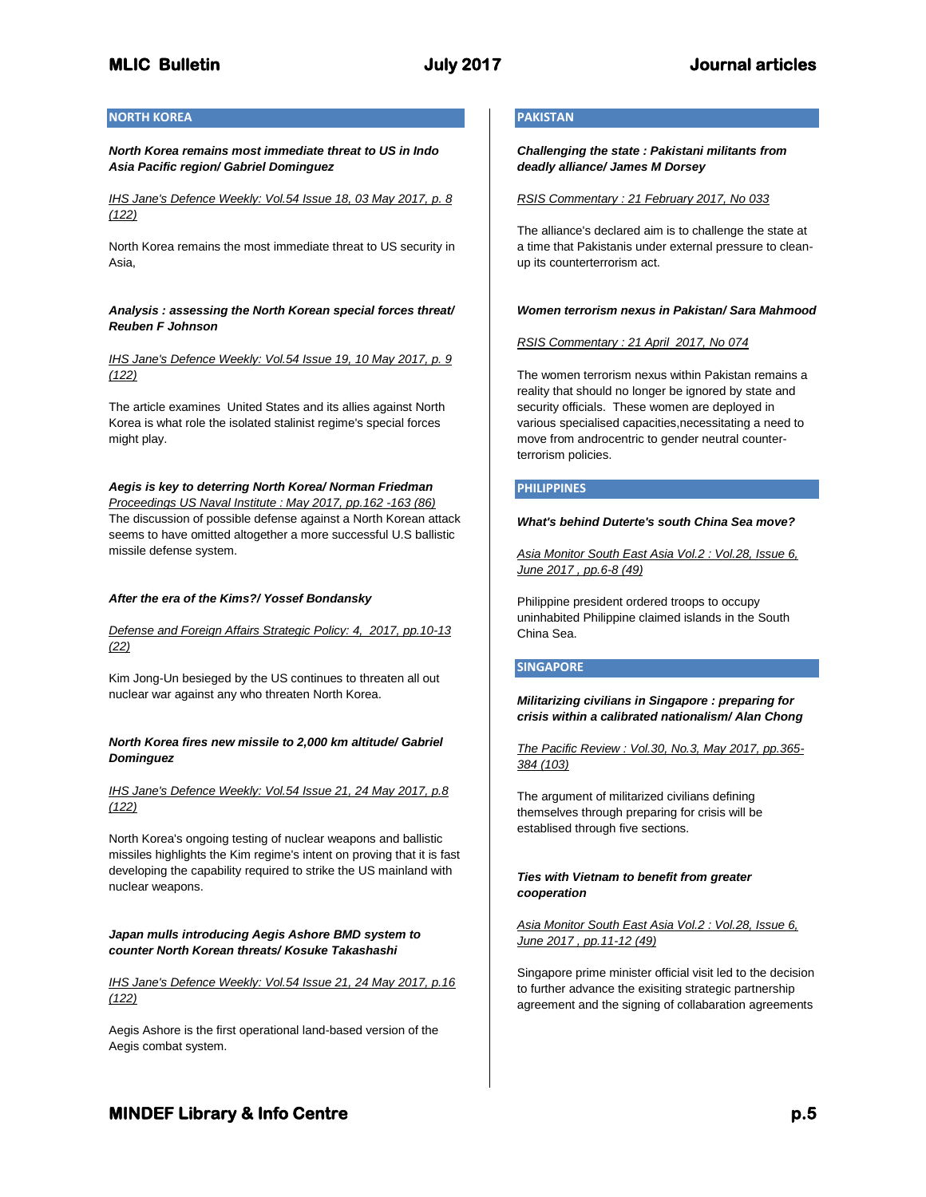# **MLIC Bulletin July 2017 Journal articles**

# **NORTH KOREA**

*North Korea remains most immediate threat to US in Indo Asia Pacific region/ Gabriel Dominguez*

*IHS Jane's Defence Weekly: Vol.54 Issue 18, 03 May 2017, p. 8 (122)*

North Korea remains the most immediate threat to US security in Asia,

*Analysis : assessing the North Korean special forces threat/ Reuben F Johnson*

*IHS Jane's Defence Weekly: Vol.54 Issue 19, 10 May 2017, p. 9 (122)*

The article examines United States and its allies against North Korea is what role the isolated stalinist regime's special forces might play.

*Aegis is key to deterring North Korea/ Norman Friedman Proceedings US Naval Institute : May 2017, pp.162 -163 (86)* The discussion of possible defense against a North Korean attack seems to have omitted altogether a more successful U.S ballistic missile defense system.

# *After the era of the Kims?/ Yossef Bondansky*

# *Defense and Foreign Affairs Strategic Policy: 4, 2017, pp.10-13 (22)*

Kim Jong-Un besieged by the US continues to threaten all out nuclear war against any who threaten North Korea.

### *North Korea fires new missile to 2,000 km altitude/ Gabriel Dominguez*

*IHS Jane's Defence Weekly: Vol.54 Issue 21, 24 May 2017, p.8 (122)*

North Korea's ongoing testing of nuclear weapons and ballistic missiles highlights the Kim regime's intent on proving that it is fast developing the capability required to strike the US mainland with nuclear weapons.

### *Japan mulls introducing Aegis Ashore BMD system to counter North Korean threats/ Kosuke Takashashi*

*IHS Jane's Defence Weekly: Vol.54 Issue 21, 24 May 2017, p.16 (122)*

Aegis Ashore is the first operational land-based version of the Aegis combat system.

# **PAKISTAN**

*Challenging the state : Pakistani militants from deadly alliance/ James M Dorsey*

*RSIS Commentary : 21 February 2017, No 033*

The alliance's declared aim is to challenge the state at a time that Pakistanis under external pressure to cleanup its counterterrorism act.

#### *Women terrorism nexus in Pakistan/ Sara Mahmood*

*RSIS Commentary : 21 April 2017, No 074*

The women terrorism nexus within Pakistan remains a reality that should no longer be ignored by state and security officials. These women are deployed in various specialised capacities,necessitating a need to move from androcentric to gender neutral counterterrorism policies.

#### **PHILIPPINES**

#### *What's behind Duterte's south China Sea move?*

*Asia Monitor South East Asia Vol.2 : Vol.28, Issue 6, June 2017 , pp.6-8 (49)*

Philippine president ordered troops to occupy uninhabited Philippine claimed islands in the South China Sea.

### **SINGAPORE**

*Militarizing civilians in Singapore : preparing for crisis within a calibrated nationalism/ Alan Chong*

*The Pacific Review : Vol.30, No.3, May 2017, pp.365- 384 (103)*

The argument of militarized civilians defining themselves through preparing for crisis will be establised through five sections.

### *Ties with Vietnam to benefit from greater cooperation*

*Asia Monitor South East Asia Vol.2 : Vol.28, Issue 6, June 2017 , pp.11-12 (49)*

Singapore prime minister official visit led to the decision to further advance the exisiting strategic partnership agreement and the signing of collabaration agreements

# **MINDEF Library & Info Centre** *p.5* $p.5$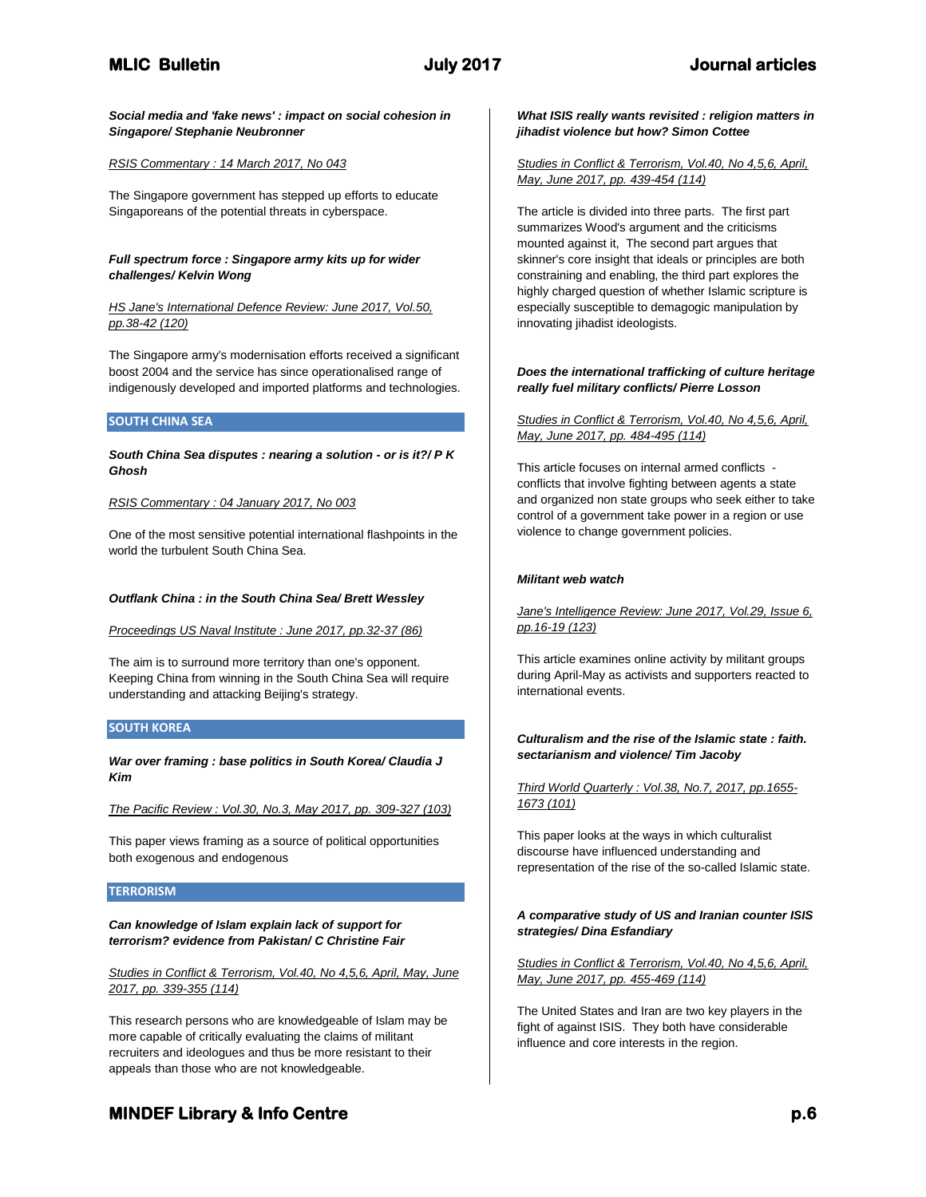*Social media and 'fake news' : impact on social cohesion in Singapore/ Stephanie Neubronner*

# *RSIS Commentary : 14 March 2017, No 043*

The Singapore government has stepped up efforts to educate Singaporeans of the potential threats in cyberspace.

### *Full spectrum force : Singapore army kits up for wider challenges/ Kelvin Wong*

# *HS Jane's International Defence Review: June 2017, Vol.50, pp.38-42 (120)*

The Singapore army's modernisation efforts received a significant boost 2004 and the service has since operationalised range of indigenously developed and imported platforms and technologies.

# **SOUTH CHINA SEA**

*South China Sea disputes : nearing a solution - or is it?/ P K Ghosh*

### *RSIS Commentary : 04 January 2017, No 003*

One of the most sensitive potential international flashpoints in the world the turbulent South China Sea.

# *Outflank China : in the South China Sea/ Brett Wessley*

### *Proceedings US Naval Institute : June 2017, pp.32-37 (86)*

The aim is to surround more territory than one's opponent. Keeping China from winning in the South China Sea will require understanding and attacking Beijing's strategy.

### **SOUTH KOREA**

*War over framing : base politics in South Korea/ Claudia J Kim*

*The Pacific Review : Vol.30, No.3, May 2017, pp. 309-327 (103)*

This paper views framing as a source of political opportunities both exogenous and endogenous

# **TERRORISM**

# *Can knowledge of Islam explain lack of support for terrorism? evidence from Pakistan/ C Christine Fair*

*Studies in Conflict & Terrorism, Vol.40, No 4,5,6, April, May, June 2017, pp. 339-355 (114)*

This research persons who are knowledgeable of Islam may be more capable of critically evaluating the claims of militant recruiters and ideologues and thus be more resistant to their appeals than those who are not knowledgeable.

# *What ISIS really wants revisited : religion matters in jihadist violence but how? Simon Cottee*

# *Studies in Conflict & Terrorism, Vol.40, No 4,5,6, April, May, June 2017, pp. 439-454 (114)*

The article is divided into three parts. The first part summarizes Wood's argument and the criticisms mounted against it, The second part argues that skinner's core insight that ideals or principles are both constraining and enabling, the third part explores the highly charged question of whether Islamic scripture is especially susceptible to demagogic manipulation by innovating jihadist ideologists.

### *Does the international trafficking of culture heritage really fuel military conflicts/ Pierre Losson*

#### *Studies in Conflict & Terrorism, Vol.40, No 4,5,6, April, May, June 2017, pp. 484-495 (114)*

This article focuses on internal armed conflicts conflicts that involve fighting between agents a state and organized non state groups who seek either to take control of a government take power in a region or use violence to change government policies.

### *Militant web watch*

# *Jane's Intelligence Review: June 2017, Vol.29, Issue 6, pp.16-19 (123)*

This article examines online activity by militant groups during April-May as activists and supporters reacted to international events.

# *Culturalism and the rise of the Islamic state : faith. sectarianism and violence/ Tim Jacoby*

# *Third World Quarterly : Vol.38, No.7, 2017, pp.1655- 1673 (101)*

This paper looks at the ways in which culturalist discourse have influenced understanding and representation of the rise of the so-called Islamic state.

# *A comparative study of US and Iranian counter ISIS strategies/ Dina Esfandiary*

*Studies in Conflict & Terrorism, Vol.40, No 4,5,6, April, May, June 2017, pp. 455-469 (114)*

The United States and Iran are two key players in the fight of against ISIS. They both have considerable influence and core interests in the region.

# **MINDEF Library & Info Centre** *p.6* $p.6$